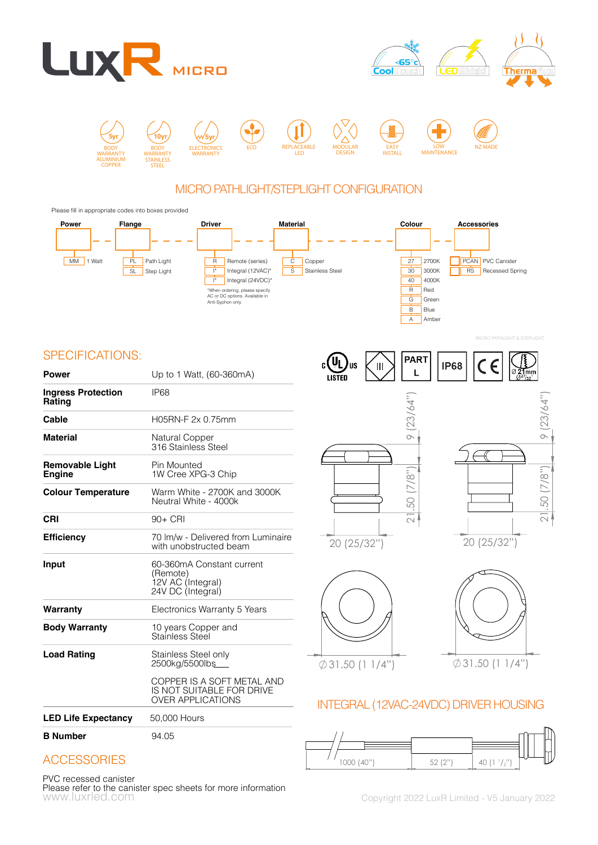





## MICRO PATHLIGHT/STEPLIGHT CONFIGURATION

Please fill in appropriate codes into boxes provided



## **5yr** SPECIFICATIONS:

| <b>Power</b>                            | Up to 1 Watt, (60-360mA)                                                            | c ( YL          |
|-----------------------------------------|-------------------------------------------------------------------------------------|-----------------|
| <b>Ingress Protection</b>               | IP <sub>68</sub>                                                                    | LISTE           |
| Rating                                  |                                                                                     |                 |
| Cable                                   | H05RN-F 2x 0.75mm                                                                   |                 |
| <b>Material</b>                         | Natural Copper<br>316 Stainless Steel                                               |                 |
| <b>Removable Light</b><br><b>Engine</b> | Pin Mounted<br>1W Cree XPG-3 Chip                                                   |                 |
| <b>Colour Temperature</b>               | Warm White - 2700K and 3000K<br>Neutral White - 4000k                               |                 |
| <b>CRI</b>                              | $90+$ CRI                                                                           |                 |
| <b>Efficiency</b>                       | 70 Im/w - Delivered from Luminaire<br>with unobstructed beam                        | 20              |
| Input                                   | 60-360mA Constant current<br>(Remote)<br>12V AC (Integral)<br>24V DC (Integral)     |                 |
| Warranty                                | Electronics Warranty 5 Years                                                        |                 |
| <b>Body Warranty</b>                    | 10 years Copper and<br>Stainless Steel                                              |                 |
| <b>Load Rating</b>                      | Stainless Steel only<br>2500kg/5500lbs                                              | $\emptyset$ 31. |
|                                         | COPPER IS A SOFT METAL AND<br>IS NOT SUITABLE FOR DRIVE<br><b>OVER APPLICATIONS</b> | INTF(           |
| <b>LED Life Expectancy</b>              | 50,000 Hours                                                                        |                 |
| <b>B</b> Number                         | 94.05                                                                               | ן י             |



A Amber





MICRO PATHLIGHT & STEPLIGHT





# INTEGRAL (12VAC-24VDC) DRIVER HOUSING



# **ACCESSORIES**

#### PVC recessed canister

www.luxrled.com example 2022 LuxR Limited - V5 January 2022 Please refer to the canister spec sheets for more information